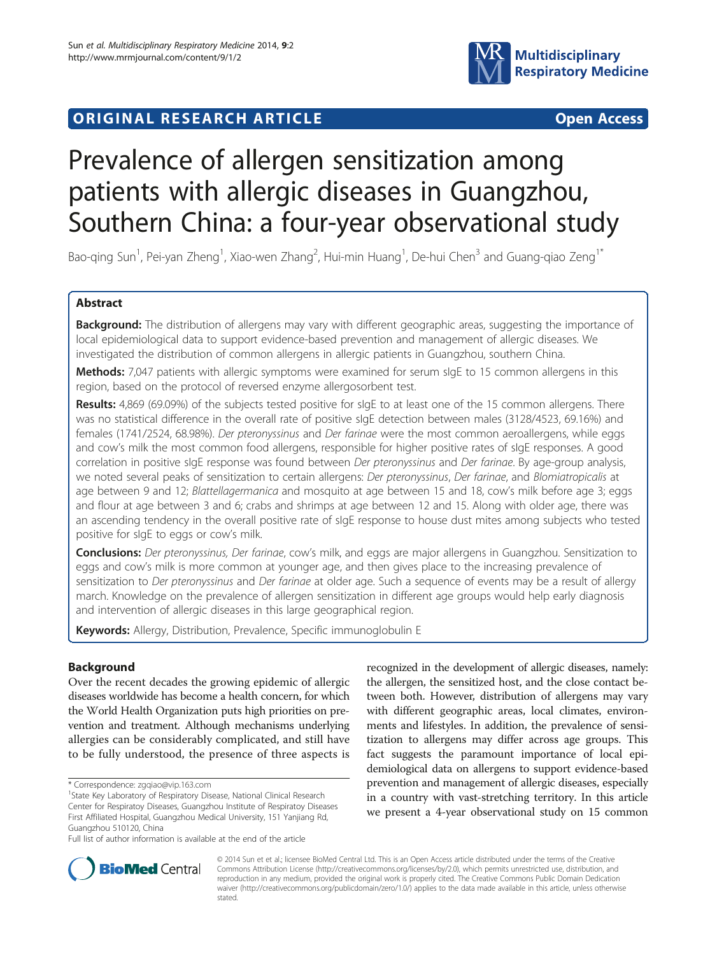



# Prevalence of allergen sensitization among patients with allergic diseases in Guangzhou, Southern China: a four-year observational study

Bao-qing Sun<sup>1</sup>, Pei-yan Zheng<sup>1</sup>, Xiao-wen Zhang<sup>2</sup>, Hui-min Huang<sup>1</sup>, De-hui Chen<sup>3</sup> and Guang-qiao Zeng<sup>1\*</sup>

# Abstract

Background: The distribution of allergens may vary with different geographic areas, suggesting the importance of local epidemiological data to support evidence-based prevention and management of allergic diseases. We investigated the distribution of common allergens in allergic patients in Guangzhou, southern China.

Methods: 7,047 patients with allergic symptoms were examined for serum sIgE to 15 common allergens in this region, based on the protocol of reversed enzyme allergosorbent test.

Results: 4,869 (69.09%) of the subjects tested positive for sIgE to at least one of the 15 common allergens. There was no statistical difference in the overall rate of positive sIgE detection between males (3128/4523, 69.16%) and females (1741/2524, 68.98%). Der pteronyssinus and Der farinae were the most common aeroallergens, while eggs and cow's milk the most common food allergens, responsible for higher positive rates of sIgE responses. A good correlation in positive sIgE response was found between Der pteronyssinus and Der farinae. By age-group analysis, we noted several peaks of sensitization to certain allergens: Der pteronyssinus, Der farinae, and Blomiatropicalis at age between 9 and 12; Blattellagermanica and mosquito at age between 15 and 18, cow's milk before age 3; eggs and flour at age between 3 and 6; crabs and shrimps at age between 12 and 15. Along with older age, there was an ascending tendency in the overall positive rate of sIgE response to house dust mites among subjects who tested positive for sIgE to eggs or cow's milk.

Conclusions: Der pteronyssinus, Der farinae, cow's milk, and eggs are major allergens in Guangzhou. Sensitization to eggs and cow's milk is more common at younger age, and then gives place to the increasing prevalence of sensitization to Der pteronyssinus and Der farinae at older age. Such a sequence of events may be a result of allergy march. Knowledge on the prevalence of allergen sensitization in different age groups would help early diagnosis and intervention of allergic diseases in this large geographical region.

Keywords: Allergy, Distribution, Prevalence, Specific immunoglobulin E

# Background

Over the recent decades the growing epidemic of allergic diseases worldwide has become a health concern, for which the World Health Organization puts high priorities on prevention and treatment. Although mechanisms underlying allergies can be considerably complicated, and still have to be fully understood, the presence of three aspects is

recognized in the development of allergic diseases, namely: the allergen, the sensitized host, and the close contact between both. However, distribution of allergens may vary with different geographic areas, local climates, environments and lifestyles. In addition, the prevalence of sensitization to allergens may differ across age groups. This fact suggests the paramount importance of local epidemiological data on allergens to support evidence-based prevention and management of allergic diseases, especially in a country with vast-stretching territory. In this article we present a 4-year observational study on 15 common



© 2014 Sun et et al.; licensee BioMed Central Ltd. This is an Open Access article distributed under the terms of the Creative Commons Attribution License [\(http://creativecommons.org/licenses/by/2.0\)](http://creativecommons.org/licenses/by/2.0), which permits unrestricted use, distribution, and reproduction in any medium, provided the original work is properly cited. The Creative Commons Public Domain Dedication waiver [\(http://creativecommons.org/publicdomain/zero/1.0/\)](http://creativecommons.org/publicdomain/zero/1.0/) applies to the data made available in this article, unless otherwise stated.

<sup>\*</sup> Correspondence: [zgqiao@vip.163.com](mailto:zgqiao@vip.163.com) <sup>1</sup>

<sup>&</sup>lt;sup>1</sup> State Key Laboratory of Respiratory Disease, National Clinical Research Center for Respiratoy Diseases, Guangzhou Institute of Respiratoy Diseases First Affiliated Hospital, Guangzhou Medical University, 151 Yanjiang Rd, Guangzhou 510120, China

Full list of author information is available at the end of the article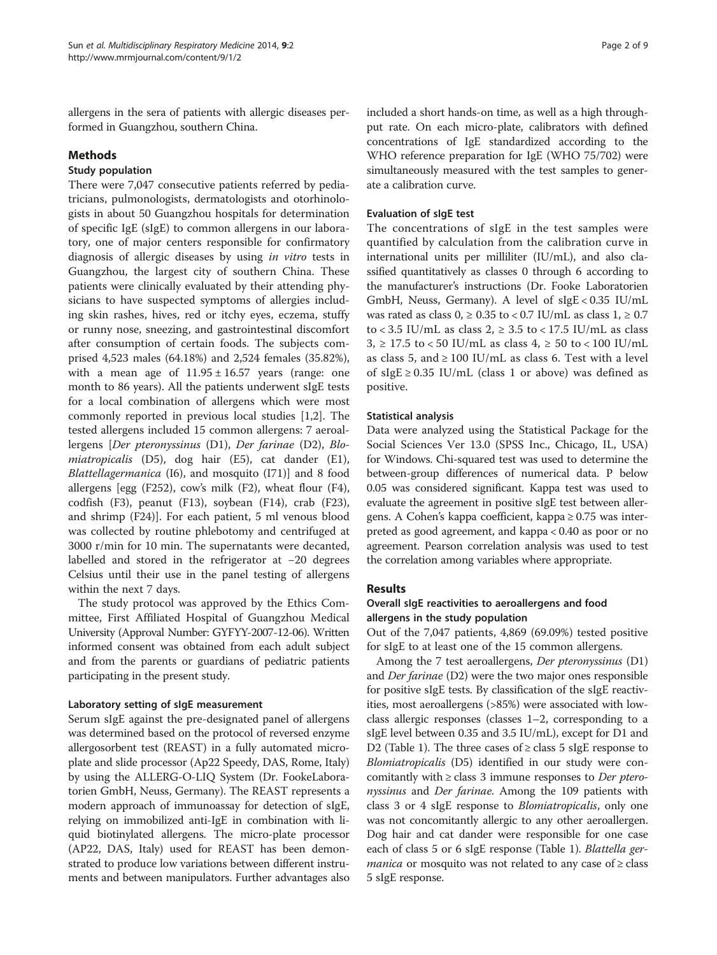allergens in the sera of patients with allergic diseases performed in Guangzhou, southern China.

## Methods

## Study population

There were 7,047 consecutive patients referred by pediatricians, pulmonologists, dermatologists and otorhinologists in about 50 Guangzhou hospitals for determination of specific IgE (sIgE) to common allergens in our laboratory, one of major centers responsible for confirmatory diagnosis of allergic diseases by using in vitro tests in Guangzhou, the largest city of southern China. These patients were clinically evaluated by their attending physicians to have suspected symptoms of allergies including skin rashes, hives, red or itchy eyes, eczema, stuffy or runny nose, sneezing, and gastrointestinal discomfort after consumption of certain foods. The subjects comprised 4,523 males (64.18%) and 2,524 females (35.82%), with a mean age of  $11.95 \pm 16.57$  years (range: one month to 86 years). All the patients underwent sIgE tests for a local combination of allergens which were most commonly reported in previous local studies [[1,2\]](#page-8-0). The tested allergens included 15 common allergens: 7 aeroallergens [Der pteronyssinus (D1), Der farinae (D2), Blomiatropicalis (D5), dog hair (E5), cat dander (E1), Blattellagermanica (I6), and mosquito (I71)] and 8 food allergens [egg (F252), cow's milk (F2), wheat flour (F4), codfish (F3), peanut (F13), soybean (F14), crab (F23), and shrimp (F24)]. For each patient, 5 ml venous blood was collected by routine phlebotomy and centrifuged at 3000 r/min for 10 min. The supernatants were decanted, labelled and stored in the refrigerator at −20 degrees Celsius until their use in the panel testing of allergens within the next 7 days.

The study protocol was approved by the Ethics Committee, First Affiliated Hospital of Guangzhou Medical University (Approval Number: GYFYY-2007-12-06). Written informed consent was obtained from each adult subject and from the parents or guardians of pediatric patients participating in the present study.

# Laboratory setting of sIgE measurement

Serum sIgE against the pre-designated panel of allergens was determined based on the protocol of reversed enzyme allergosorbent test (REAST) in a fully automated microplate and slide processor (Ap22 Speedy, DAS, Rome, Italy) by using the ALLERG-O-LIQ System (Dr. FookeLaboratorien GmbH, Neuss, Germany). The REAST represents a modern approach of immunoassay for detection of sIgE, relying on immobilized anti-IgE in combination with liquid biotinylated allergens. The micro-plate processor (AP22, DAS, Italy) used for REAST has been demonstrated to produce low variations between different instruments and between manipulators. Further advantages also included a short hands-on time, as well as a high throughput rate. On each micro-plate, calibrators with defined concentrations of IgE standardized according to the WHO reference preparation for IgE (WHO 75/702) were simultaneously measured with the test samples to generate a calibration curve.

# Evaluation of sIgE test

The concentrations of sIgE in the test samples were quantified by calculation from the calibration curve in international units per milliliter (IU/mL), and also classified quantitatively as classes 0 through 6 according to the manufacturer's instructions (Dr. Fooke Laboratorien GmbH, Neuss, Germany). A level of sIgE < 0.35 IU/mL was rated as class  $0, \ge 0.35$  to < 0.7 IU/mL as class  $1, \ge 0.7$ to < 3.5 IU/mL as class  $2$ ,  $\geq$  3.5 to < 17.5 IU/mL as class 3, ≥ 17.5 to < 50 IU/mL as class  $4$ , ≥ 50 to < 100 IU/mL as class 5, and  $\geq 100$  IU/mL as class 6. Test with a level of sIgE  $\geq$  0.35 IU/mL (class 1 or above) was defined as positive.

# Statistical analysis

Data were analyzed using the Statistical Package for the Social Sciences Ver 13.0 (SPSS Inc., Chicago, IL, USA) for Windows. Chi-squared test was used to determine the between-group differences of numerical data. P below 0.05 was considered significant. Kappa test was used to evaluate the agreement in positive sIgE test between allergens. A Cohen's kappa coefficient, kappa ≥ 0.75 was interpreted as good agreement, and kappa < 0.40 as poor or no agreement. Pearson correlation analysis was used to test the correlation among variables where appropriate.

# Results

# Overall sIgE reactivities to aeroallergens and food allergens in the study population

Out of the 7,047 patients, 4,869 (69.09%) tested positive for sIgE to at least one of the 15 common allergens.

Among the 7 test aeroallergens, Der pteronyssinus (D1) and Der farinae (D2) were the two major ones responsible for positive sIgE tests. By classification of the sIgE reactivities, most aeroallergens (>85%) were associated with lowclass allergic responses (classes 1–2, corresponding to a sIgE level between 0.35 and 3.5 IU/mL), except for D1 and D2 (Table [1](#page-2-0)). The three cases of  $\geq$  class 5 sIgE response to Blomiatropicalis (D5) identified in our study were concomitantly with  $\geq$  class 3 immune responses to *Der ptero*nyssinus and Der farinae. Among the 109 patients with class 3 or 4 sIgE response to Blomiatropicalis, only one was not concomitantly allergic to any other aeroallergen. Dog hair and cat dander were responsible for one case each of class 5 or 6 sIgE response (Table [1\)](#page-2-0). Blattella ger*manica* or mosquito was not related to any case of  $\geq$  class 5 sIgE response.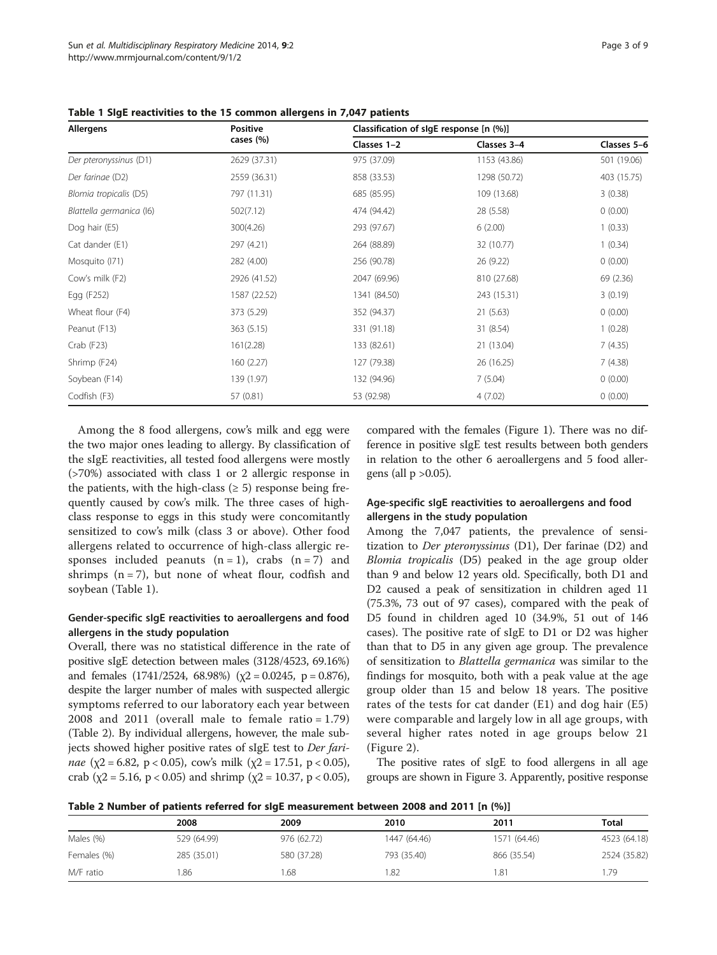| Allergens                | <b>Positive</b><br>cases (%) | Classification of sigE response [n (%)] |              |             |
|--------------------------|------------------------------|-----------------------------------------|--------------|-------------|
|                          |                              | Classes 1-2                             | Classes 3-4  | Classes 5-6 |
| Der pteronyssinus (D1)   | 2629 (37.31)                 | 975 (37.09)                             | 1153 (43.86) | 501 (19.06) |
| Der farinae (D2)         | 2559 (36.31)                 | 858 (33.53)                             | 1298 (50.72) | 403 (15.75) |
| Blomia tropicalis (D5)   | 797 (11.31)                  | 685 (85.95)                             | 109 (13.68)  | 3(0.38)     |
| Blattella germanica (16) | 502(7.12)                    | 474 (94.42)                             | 28 (5.58)    | 0(0.00)     |
| Dog hair (E5)            | 300(4.26)                    | 293 (97.67)                             | 6(2.00)      | 1(0.33)     |
| Cat dander (E1)          | 297 (4.21)                   | 264 (88.89)                             | 32 (10.77)   | 1(0.34)     |
| Mosquito (171)           | 282 (4.00)                   | 256 (90.78)                             | 26 (9.22)    | 0(0.00)     |
| Cow's milk (F2)          | 2926 (41.52)                 | 2047 (69.96)                            | 810 (27.68)  | 69 (2.36)   |
| Egg (F252)               | 1587 (22.52)                 | 1341 (84.50)                            | 243 (15.31)  | 3(0.19)     |
| Wheat flour (F4)         | 373 (5.29)                   | 352 (94.37)                             | 21(5.63)     | 0(0.00)     |
| Peanut (F13)             | 363 (5.15)                   | 331 (91.18)                             | 31 (8.54)    | 1(0.28)     |
| $Crab$ (F23)             | 161(2.28)                    | 133 (82.61)                             | 21 (13.04)   | 7(4.35)     |
| Shrimp (F24)             | 160(2.27)                    | 127 (79.38)                             | 26 (16.25)   | 7(4.38)     |
| Soybean (F14)            | 139 (1.97)                   | 132 (94.96)                             | 7(5.04)      | 0(0.00)     |
| Codfish (F3)             | 57 (0.81)                    | 53 (92.98)                              | 4(7.02)      | 0(0.00)     |

<span id="page-2-0"></span>Table 1 SIgE reactivities to the 15 common allergens in 7,047 patients

Among the 8 food allergens, cow's milk and egg were the two major ones leading to allergy. By classification of the sIgE reactivities, all tested food allergens were mostly (>70%) associated with class 1 or 2 allergic response in the patients, with the high-class  $(≥ 5)$  response being frequently caused by cow's milk. The three cases of highclass response to eggs in this study were concomitantly sensitized to cow's milk (class 3 or above). Other food allergens related to occurrence of high-class allergic responses included peanuts  $(n = 1)$ , crabs  $(n = 7)$  and shrimps  $(n = 7)$ , but none of wheat flour, codfish and soybean (Table 1).

# Gender-specific sIgE reactivities to aeroallergens and food allergens in the study population

Overall, there was no statistical difference in the rate of positive sIgE detection between males (3128/4523, 69.16%) and females (1741/2524, 68.98%) ( $\chi$ 2 = 0.0245, p = 0.876), despite the larger number of males with suspected allergic symptoms referred to our laboratory each year between 2008 and 2011 (overall male to female ratio =  $1.79$ ) (Table 2). By individual allergens, however, the male subjects showed higher positive rates of sIgE test to Der farinae (χ2 = 6.82, p < 0.05), cow's milk (χ2 = 17.51, p < 0.05), crab ( $\chi$ 2 = 5.16, p < 0.05) and shrimp ( $\chi$ 2 = 10.37, p < 0.05),

compared with the females (Figure [1](#page-3-0)). There was no difference in positive sIgE test results between both genders in relation to the other 6 aeroallergens and 5 food allergens (all  $p > 0.05$ ).

## Age-specific sIgE reactivities to aeroallergens and food allergens in the study population

Among the 7,047 patients, the prevalence of sensitization to Der pteronyssinus (D1), Der farinae (D2) and Blomia tropicalis (D5) peaked in the age group older than 9 and below 12 years old. Specifically, both D1 and D2 caused a peak of sensitization in children aged 11 (75.3%, 73 out of 97 cases), compared with the peak of D5 found in children aged 10 (34.9%, 51 out of 146 cases). The positive rate of sIgE to D1 or D2 was higher than that to D5 in any given age group. The prevalence of sensitization to Blattella germanica was similar to the findings for mosquito, both with a peak value at the age group older than 15 and below 18 years. The positive rates of the tests for cat dander (E1) and dog hair (E5) were comparable and largely low in all age groups, with several higher rates noted in age groups below 21 (Figure [2\)](#page-3-0).

The positive rates of sIgE to food allergens in all age groups are shown in Figure [3.](#page-4-0) Apparently, positive response

|  |  | Table 2 Number of patients referred for sigE measurement between 2008 and 2011 [n (%)] |  |  |  |
|--|--|----------------------------------------------------------------------------------------|--|--|--|
|--|--|----------------------------------------------------------------------------------------|--|--|--|

| <b>TWELF FINITING AT PRODUCTS TOTAL OF JISH INCREDICTION NOVICED FAMO RIM FALL</b> [II (70)] |             |             |              |              |              |
|----------------------------------------------------------------------------------------------|-------------|-------------|--------------|--------------|--------------|
|                                                                                              | 2008        | 2009        | 2010         | 2011         | <b>Total</b> |
| Males (%)                                                                                    | 529 (64.99) | 976 (62.72) | 1447 (64.46) | 1571 (64.46) | 4523 (64.18) |
| Females (%)                                                                                  | 285 (35.01) | 580 (37.28) | 793 (35.40)  | 866 (35.54)  | 2524 (35.82) |
| M/F ratio                                                                                    | .86         | 1.68        | .82          | 81. ا        | 1.79         |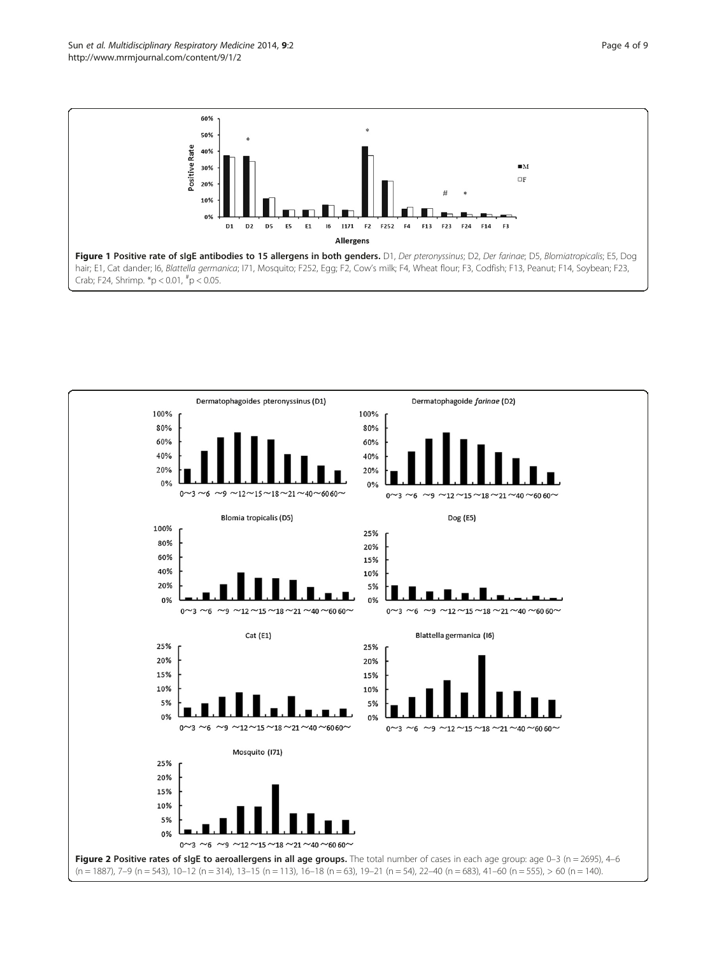<span id="page-3-0"></span>

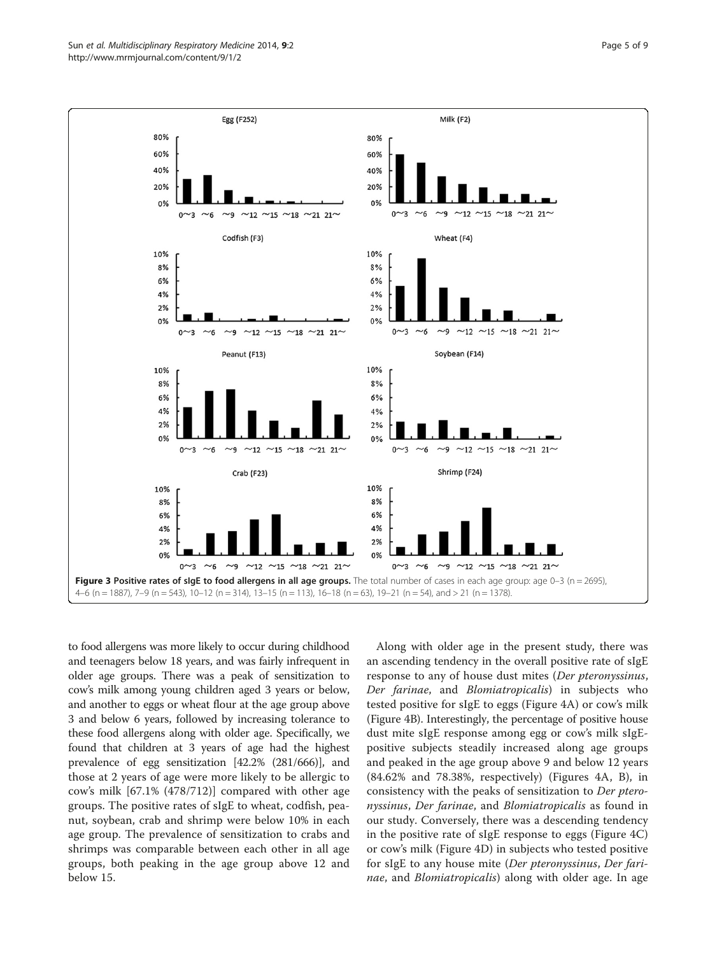<span id="page-4-0"></span>

to food allergens was more likely to occur during childhood and teenagers below 18 years, and was fairly infrequent in older age groups. There was a peak of sensitization to cow's milk among young children aged 3 years or below, and another to eggs or wheat flour at the age group above 3 and below 6 years, followed by increasing tolerance to these food allergens along with older age. Specifically, we found that children at 3 years of age had the highest prevalence of egg sensitization [42.2% (281/666)], and those at 2 years of age were more likely to be allergic to cow's milk [67.1% (478/712)] compared with other age groups. The positive rates of sIgE to wheat, codfish, peanut, soybean, crab and shrimp were below 10% in each age group. The prevalence of sensitization to crabs and shrimps was comparable between each other in all age groups, both peaking in the age group above 12 and below 15.

Along with older age in the present study, there was an ascending tendency in the overall positive rate of sIgE response to any of house dust mites (Der pteronyssinus, Der farinae, and Blomiatropicalis) in subjects who tested positive for sIgE to eggs (Figure [4A](#page-5-0)) or cow's milk (Figure [4B](#page-5-0)). Interestingly, the percentage of positive house dust mite sIgE response among egg or cow's milk sIgEpositive subjects steadily increased along age groups and peaked in the age group above 9 and below 12 years (84.62% and 78.38%, respectively) (Figures [4](#page-5-0)A, B), in consistency with the peaks of sensitization to Der pteronyssinus, Der farinae, and Blomiatropicalis as found in our study. Conversely, there was a descending tendency in the positive rate of sIgE response to eggs (Figure [4C](#page-5-0)) or cow's milk (Figure [4](#page-5-0)D) in subjects who tested positive for sIgE to any house mite (Der pteronyssinus, Der farinae, and Blomiatropicalis) along with older age. In age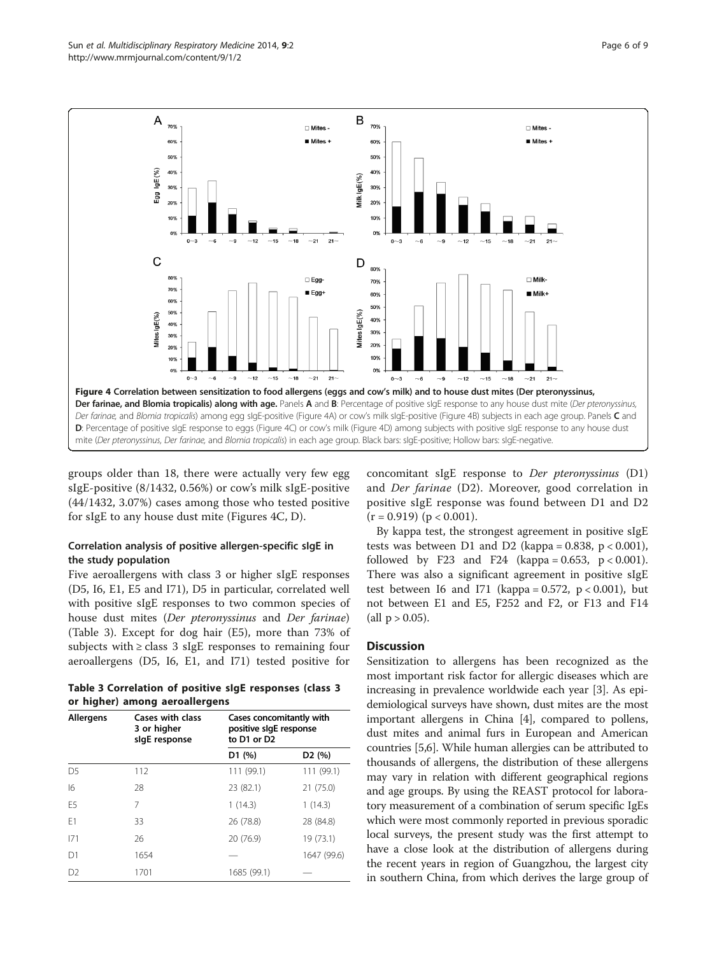<span id="page-5-0"></span>

groups older than 18, there were actually very few egg sIgE-positive (8/1432, 0.56%) or cow's milk sIgE-positive (44/1432, 3.07%) cases among those who tested positive for sIgE to any house dust mite (Figures 4C, D).

# Correlation analysis of positive allergen-specific sIgE in the study population

Five aeroallergens with class 3 or higher sIgE responses (D5, I6, E1, E5 and I71), D5 in particular, correlated well with positive sIgE responses to two common species of house dust mites (Der pteronyssinus and Der farinae) (Table 3). Except for dog hair (E5), more than 73% of subjects with  $\geq$  class 3 sIgE responses to remaining four aeroallergens (D5, I6, E1, and I71) tested positive for

Table 3 Correlation of positive sIgE responses (class 3 or higher) among aeroallergens

| <b>Allergens</b> | Cases with class<br>3 or higher<br>sigE response | Cases concomitantly with<br>positive slgE response<br>to D1 or D2 |             |  |
|------------------|--------------------------------------------------|-------------------------------------------------------------------|-------------|--|
|                  |                                                  | D1(%)                                                             | D2(%)       |  |
| D <sub>5</sub>   | 112                                              | 111 (99.1)                                                        | 111 (99.1)  |  |
| 16               | 28                                               | 23 (82.1)                                                         | 21 (75.0)   |  |
| F <sub>5</sub>   | 7                                                | 1(14.3)                                                           | 1(14.3)     |  |
| F <sub>1</sub>   | 33                                               | 26 (78.8)                                                         | 28 (84.8)   |  |
| 171              | 26                                               | 20 (76.9)                                                         | 19 (73.1)   |  |
| D1               | 1654                                             |                                                                   | 1647 (99.6) |  |
| D <sub>2</sub>   | 1701                                             | 1685 (99.1)                                                       |             |  |

concomitant sIgE response to Der pteronyssinus (D1) and Der farinae (D2). Moreover, good correlation in positive sIgE response was found between D1 and D2  $(r = 0.919)$  ( $p < 0.001$ ).

By kappa test, the strongest agreement in positive sIgE tests was between D1 and D2 (kappa =  $0.838$ , p <  $0.001$ ), followed by F23 and F24 (kappa =  $0.653$ , p <  $0.001$ ). There was also a significant agreement in positive sIgE test between I6 and I71 (kappa =  $0.572$ , p <  $0.001$ ), but not between E1 and E5, F252 and F2, or F13 and F14 (all  $p > 0.05$ ).

# **Discussion**

Sensitization to allergens has been recognized as the most important risk factor for allergic diseases which are increasing in prevalence worldwide each year [[3](#page-8-0)]. As epidemiological surveys have shown, dust mites are the most important allergens in China [[4\]](#page-8-0), compared to pollens, dust mites and animal furs in European and American countries [[5,6](#page-8-0)]. While human allergies can be attributed to thousands of allergens, the distribution of these allergens may vary in relation with different geographical regions and age groups. By using the REAST protocol for laboratory measurement of a combination of serum specific IgEs which were most commonly reported in previous sporadic local surveys, the present study was the first attempt to have a close look at the distribution of allergens during the recent years in region of Guangzhou, the largest city in southern China, from which derives the large group of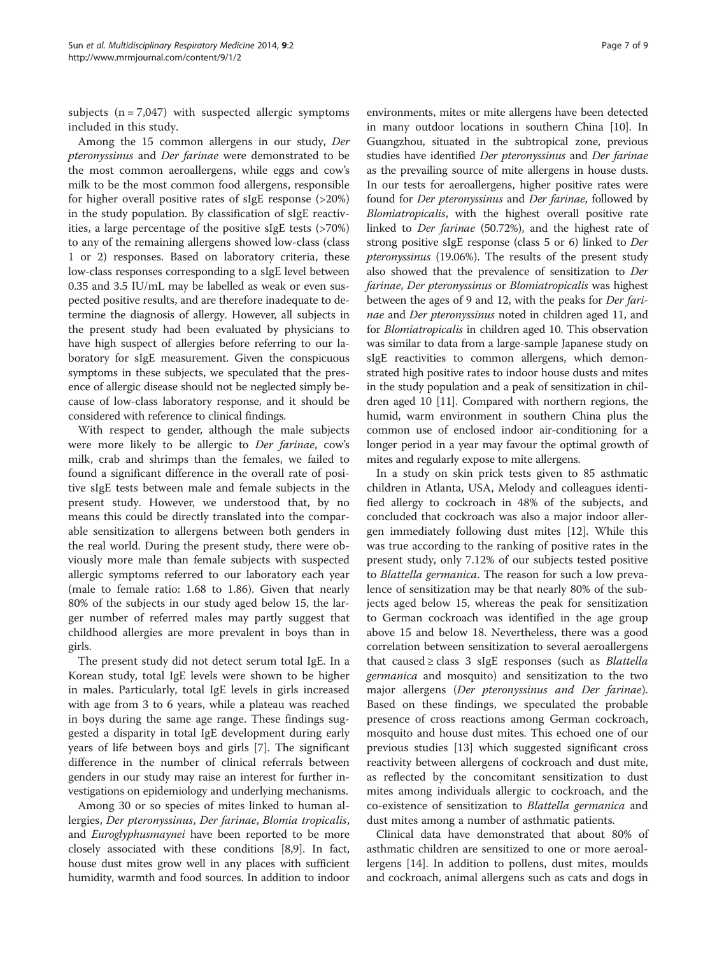subjects  $(n = 7,047)$  with suspected allergic symptoms included in this study.

Among the 15 common allergens in our study, Der pteronyssinus and Der farinae were demonstrated to be the most common aeroallergens, while eggs and cow's milk to be the most common food allergens, responsible for higher overall positive rates of sIgE response (>20%) in the study population. By classification of sIgE reactivities, a large percentage of the positive sIgE tests (>70%) to any of the remaining allergens showed low-class (class 1 or 2) responses. Based on laboratory criteria, these low-class responses corresponding to a sIgE level between 0.35 and 3.5 IU/mL may be labelled as weak or even suspected positive results, and are therefore inadequate to determine the diagnosis of allergy. However, all subjects in the present study had been evaluated by physicians to have high suspect of allergies before referring to our laboratory for sIgE measurement. Given the conspicuous symptoms in these subjects, we speculated that the presence of allergic disease should not be neglected simply because of low-class laboratory response, and it should be considered with reference to clinical findings.

With respect to gender, although the male subjects were more likely to be allergic to Der farinae, cow's milk, crab and shrimps than the females, we failed to found a significant difference in the overall rate of positive sIgE tests between male and female subjects in the present study. However, we understood that, by no means this could be directly translated into the comparable sensitization to allergens between both genders in the real world. During the present study, there were obviously more male than female subjects with suspected allergic symptoms referred to our laboratory each year (male to female ratio: 1.68 to 1.86). Given that nearly 80% of the subjects in our study aged below 15, the larger number of referred males may partly suggest that childhood allergies are more prevalent in boys than in girls.

The present study did not detect serum total IgE. In a Korean study, total IgE levels were shown to be higher in males. Particularly, total IgE levels in girls increased with age from 3 to 6 years, while a plateau was reached in boys during the same age range. These findings suggested a disparity in total IgE development during early years of life between boys and girls [\[7](#page-8-0)]. The significant difference in the number of clinical referrals between genders in our study may raise an interest for further investigations on epidemiology and underlying mechanisms.

Among 30 or so species of mites linked to human allergies, Der pteronyssinus, Der farinae, Blomia tropicalis, and *Euroglyphusmaynei* have been reported to be more closely associated with these conditions [[8,9](#page-8-0)]. In fact, house dust mites grow well in any places with sufficient humidity, warmth and food sources. In addition to indoor

environments, mites or mite allergens have been detected in many outdoor locations in southern China [[10\]](#page-8-0). In Guangzhou, situated in the subtropical zone, previous studies have identified Der pteronyssinus and Der farinae as the prevailing source of mite allergens in house dusts. In our tests for aeroallergens, higher positive rates were found for Der pteronyssinus and Der farinae, followed by Blomiatropicalis, with the highest overall positive rate linked to Der farinae (50.72%), and the highest rate of strong positive sIgE response (class 5 or 6) linked to Der pteronyssinus (19.06%). The results of the present study also showed that the prevalence of sensitization to Der farinae, Der pteronyssinus or Blomiatropicalis was highest between the ages of 9 and 12, with the peaks for Der farinae and Der pteronyssinus noted in children aged 11, and for Blomiatropicalis in children aged 10. This observation was similar to data from a large-sample Japanese study on sIgE reactivities to common allergens, which demonstrated high positive rates to indoor house dusts and mites in the study population and a peak of sensitization in children aged 10 [[11](#page-8-0)]. Compared with northern regions, the humid, warm environment in southern China plus the common use of enclosed indoor air-conditioning for a longer period in a year may favour the optimal growth of mites and regularly expose to mite allergens.

In a study on skin prick tests given to 85 asthmatic children in Atlanta, USA, Melody and colleagues identified allergy to cockroach in 48% of the subjects, and concluded that cockroach was also a major indoor allergen immediately following dust mites [\[12\]](#page-8-0). While this was true according to the ranking of positive rates in the present study, only 7.12% of our subjects tested positive to Blattella germanica. The reason for such a low prevalence of sensitization may be that nearly 80% of the subjects aged below 15, whereas the peak for sensitization to German cockroach was identified in the age group above 15 and below 18. Nevertheless, there was a good correlation between sensitization to several aeroallergens that caused  $\geq$  class 3 sIgE responses (such as *Blattella* germanica and mosquito) and sensitization to the two major allergens (Der pteronyssinus and Der farinae). Based on these findings, we speculated the probable presence of cross reactions among German cockroach, mosquito and house dust mites. This echoed one of our previous studies [\[13](#page-8-0)] which suggested significant cross reactivity between allergens of cockroach and dust mite, as reflected by the concomitant sensitization to dust mites among individuals allergic to cockroach, and the co-existence of sensitization to Blattella germanica and dust mites among a number of asthmatic patients.

Clinical data have demonstrated that about 80% of asthmatic children are sensitized to one or more aeroallergens [[14\]](#page-8-0). In addition to pollens, dust mites, moulds and cockroach, animal allergens such as cats and dogs in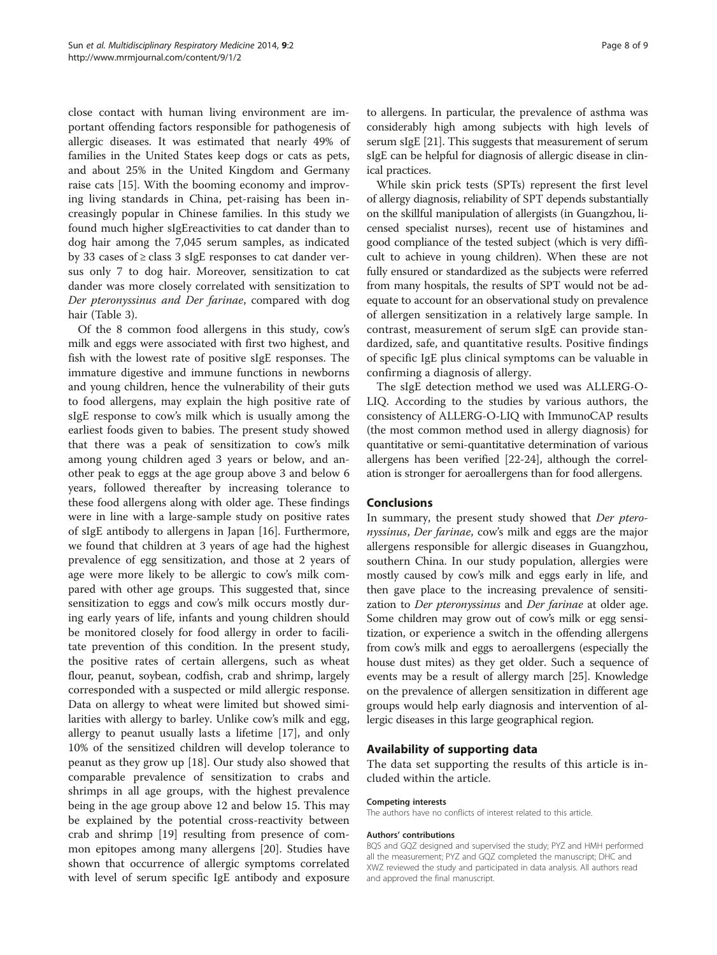close contact with human living environment are important offending factors responsible for pathogenesis of allergic diseases. It was estimated that nearly 49% of families in the United States keep dogs or cats as pets, and about 25% in the United Kingdom and Germany raise cats [\[15\]](#page-8-0). With the booming economy and improving living standards in China, pet-raising has been increasingly popular in Chinese families. In this study we found much higher sIgEreactivities to cat dander than to dog hair among the 7,045 serum samples, as indicated by 33 cases of ≥ class 3 sIgE responses to cat dander versus only 7 to dog hair. Moreover, sensitization to cat dander was more closely correlated with sensitization to Der pteronyssinus and Der farinae, compared with dog hair (Table [3\)](#page-5-0).

Of the 8 common food allergens in this study, cow's milk and eggs were associated with first two highest, and fish with the lowest rate of positive sIgE responses. The immature digestive and immune functions in newborns and young children, hence the vulnerability of their guts to food allergens, may explain the high positive rate of sIgE response to cow's milk which is usually among the earliest foods given to babies. The present study showed that there was a peak of sensitization to cow's milk among young children aged 3 years or below, and another peak to eggs at the age group above 3 and below 6 years, followed thereafter by increasing tolerance to these food allergens along with older age. These findings were in line with a large-sample study on positive rates of sIgE antibody to allergens in Japan [[16\]](#page-8-0). Furthermore, we found that children at 3 years of age had the highest prevalence of egg sensitization, and those at 2 years of age were more likely to be allergic to cow's milk compared with other age groups. This suggested that, since sensitization to eggs and cow's milk occurs mostly during early years of life, infants and young children should be monitored closely for food allergy in order to facilitate prevention of this condition. In the present study, the positive rates of certain allergens, such as wheat flour, peanut, soybean, codfish, crab and shrimp, largely corresponded with a suspected or mild allergic response. Data on allergy to wheat were limited but showed similarities with allergy to barley. Unlike cow's milk and egg, allergy to peanut usually lasts a lifetime [\[17](#page-8-0)], and only 10% of the sensitized children will develop tolerance to peanut as they grow up [\[18](#page-8-0)]. Our study also showed that comparable prevalence of sensitization to crabs and shrimps in all age groups, with the highest prevalence being in the age group above 12 and below 15. This may be explained by the potential cross-reactivity between crab and shrimp [[19\]](#page-8-0) resulting from presence of common epitopes among many allergens [\[20\]](#page-8-0). Studies have shown that occurrence of allergic symptoms correlated with level of serum specific IgE antibody and exposure

to allergens. In particular, the prevalence of asthma was considerably high among subjects with high levels of serum sIgE [[21](#page-8-0)]. This suggests that measurement of serum sIgE can be helpful for diagnosis of allergic disease in clinical practices.

While skin prick tests (SPTs) represent the first level of allergy diagnosis, reliability of SPT depends substantially on the skillful manipulation of allergists (in Guangzhou, licensed specialist nurses), recent use of histamines and good compliance of the tested subject (which is very difficult to achieve in young children). When these are not fully ensured or standardized as the subjects were referred from many hospitals, the results of SPT would not be adequate to account for an observational study on prevalence of allergen sensitization in a relatively large sample. In contrast, measurement of serum sIgE can provide standardized, safe, and quantitative results. Positive findings of specific IgE plus clinical symptoms can be valuable in confirming a diagnosis of allergy.

The sIgE detection method we used was ALLERG-O-LIQ. According to the studies by various authors, the consistency of ALLERG-O-LIQ with ImmunoCAP results (the most common method used in allergy diagnosis) for quantitative or semi-quantitative determination of various allergens has been verified [[22](#page-8-0)-[24](#page-8-0)], although the correlation is stronger for aeroallergens than for food allergens.

## Conclusions

In summary, the present study showed that Der pteronyssinus, Der farinae, cow's milk and eggs are the major allergens responsible for allergic diseases in Guangzhou, southern China. In our study population, allergies were mostly caused by cow's milk and eggs early in life, and then gave place to the increasing prevalence of sensitization to Der pteronyssinus and Der farinae at older age. Some children may grow out of cow's milk or egg sensitization, or experience a switch in the offending allergens from cow's milk and eggs to aeroallergens (especially the house dust mites) as they get older. Such a sequence of events may be a result of allergy march [[25](#page-8-0)]. Knowledge on the prevalence of allergen sensitization in different age groups would help early diagnosis and intervention of allergic diseases in this large geographical region.

## Availability of supporting data

The data set supporting the results of this article is included within the article.

#### Competing interests

The authors have no conflicts of interest related to this article.

#### Authors' contributions

BQS and GQZ designed and supervised the study; PYZ and HMH performed all the measurement; PYZ and GQZ completed the manuscript; DHC and XWZ reviewed the study and participated in data analysis. All authors read and approved the final manuscript.